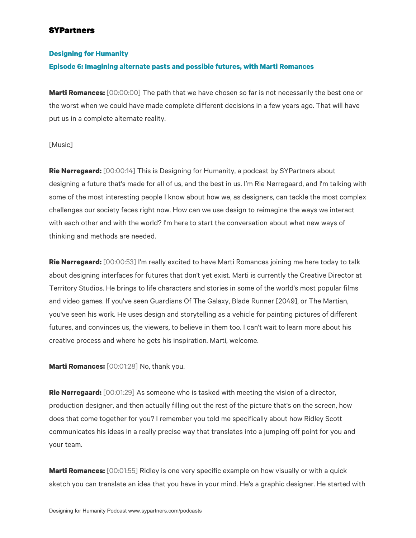#### **Designing for Humanity**

#### **Episode 6: Imagining alternate pasts and possible futures, with Marti Romances**

**Marti Romances:** [00:00:00] The path that we have chosen so far is not necessarily the best one or the worst when we could have made complete different decisions in a few years ago. That will have put us in a complete alternate reality.

#### [Music]

**Rie Nørregaard:** [00:00:14] This is Designing for Humanity, a podcast by SYPartners about designing a future that's made for all of us, and the best in us. I'm Rie Nørregaard, and I'm talking with some of the most interesting people I know about how we, as designers, can tackle the most complex challenges our society faces right now. How can we use design to reimagine the ways we interact with each other and with the world? I'm here to start the conversation about what new ways of thinking and methods are needed.

**Rie Nørregaard:** [00:00:53] I'm really excited to have Marti Romances joining me here today to talk about designing interfaces for futures that don't yet exist. Marti is currently the Creative Director at Territory Studios. He brings to life characters and stories in some of the world's most popular films and video games. If you've seen Guardians Of The Galaxy, Blade Runner [2049], or The Martian, you've seen his work. He uses design and storytelling as a vehicle for painting pictures of different futures, and convinces us, the viewers, to believe in them too. I can't wait to learn more about his creative process and where he gets his inspiration. Marti, welcome.

**Marti Romances:** [00:01:28] No, thank you.

**Rie Nørregaard:** [00:01:29] As someone who is tasked with meeting the vision of a director, production designer, and then actually filling out the rest of the picture that's on the screen, how does that come together for you? I remember you told me specifically about how Ridley Scott communicates his ideas in a really precise way that translates into a jumping off point for you and your team.

**Marti Romances:** [00:01:55] Ridley is one very specific example on how visually or with a quick sketch you can translate an idea that you have in your mind. He's a graphic designer. He started with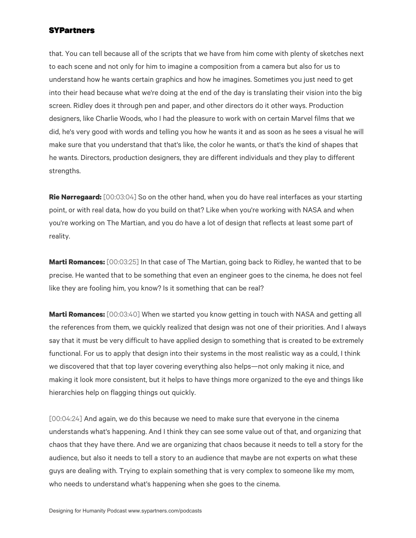that. You can tell because all of the scripts that we have from him come with plenty of sketches next to each scene and not only for him to imagine a composition from a camera but also for us to understand how he wants certain graphics and how he imagines. Sometimes you just need to get into their head because what we're doing at the end of the day is translating their vision into the big screen. Ridley does it through pen and paper, and other directors do it other ways. Production designers, like Charlie Woods, who I had the pleasure to work with on certain Marvel films that we did, he's very good with words and telling you how he wants it and as soon as he sees a visual he will make sure that you understand that that's like, the color he wants, or that's the kind of shapes that he wants. Directors, production designers, they are different individuals and they play to different strengths.

**Rie Nørregaard:** [00:03:04] So on the other hand, when you do have real interfaces as your starting point, or with real data, how do you build on that? Like when you're working with NASA and when you're working on The Martian, and you do have a lot of design that reflects at least some part of reality.

**Marti Romances:** [00:03:25] In that case of The Martian, going back to Ridley, he wanted that to be precise. He wanted that to be something that even an engineer goes to the cinema, he does not feel like they are fooling him, you know? Is it something that can be real?

**Marti Romances:** [00:03:40] When we started you know getting in touch with NASA and getting all the references from them, we quickly realized that design was not one of their priorities. And I always say that it must be very difficult to have applied design to something that is created to be extremely functional. For us to apply that design into their systems in the most realistic way as a could, I think we discovered that that top layer covering everything also helps—not only making it nice, and making it look more consistent, but it helps to have things more organized to the eye and things like hierarchies help on flagging things out quickly.

[00:04:24] And again, we do this because we need to make sure that everyone in the cinema understands what's happening. And I think they can see some value out of that, and organizing that chaos that they have there. And we are organizing that chaos because it needs to tell a story for the audience, but also it needs to tell a story to an audience that maybe are not experts on what these guys are dealing with. Trying to explain something that is very complex to someone like my mom, who needs to understand what's happening when she goes to the cinema.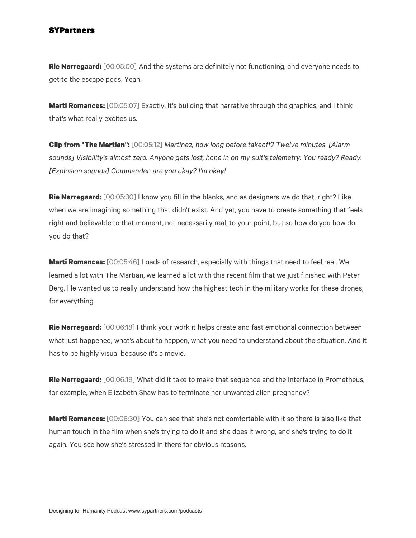**Rie Nørregaard:** [00:05:00] And the systems are definitely not functioning, and everyone needs to get to the escape pods. Yeah.

**Marti Romances:** [00:05:07] Exactly. It's building that narrative through the graphics, and I think that's what really excites us.

**Clip from "The Martian":** [00:05:12] *Martinez, how long before takeoff? Twelve minutes. [Alarm sounds] Visibility's almost zero. Anyone gets lost, hone in on my suit's telemetry. You ready? Ready. [Explosion sounds] Commander, are you okay? I'm okay!*

**Rie Nørregaard:** [00:05:30] I know you fill in the blanks, and as designers we do that, right? Like when we are imagining something that didn't exist. And yet, you have to create something that feels right and believable to that moment, not necessarily real, to your point, but so how do you how do you do that?

**Marti Romances:** [00:05:46] Loads of research, especially with things that need to feel real. We learned a lot with The Martian, we learned a lot with this recent film that we just finished with Peter Berg. He wanted us to really understand how the highest tech in the military works for these drones, for everything.

**Rie Nørregaard:** [00:06:18] I think your work it helps create and fast emotional connection between what just happened, what's about to happen, what you need to understand about the situation. And it has to be highly visual because it's a movie.

**Rie Nørregaard:** [00:06:19] What did it take to make that sequence and the interface in Prometheus, for example, when Elizabeth Shaw has to terminate her unwanted alien pregnancy?

**Marti Romances:** [00:06:30] You can see that she's not comfortable with it so there is also like that human touch in the film when she's trying to do it and she does it wrong, and she's trying to do it again. You see how she's stressed in there for obvious reasons.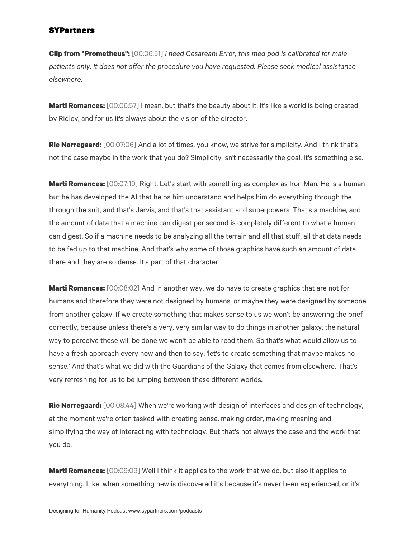**Clip from "Prometheus":** [00:06:51] *I need Cesarean! Error, this med pod is calibrated for male patients only. It does not offer the procedure you have requested. Please seek medical assistance elsewhere.*

**Marti Romances:** [00:06:57] I mean, but that's the beauty about it. It's like a world is being created by Ridley, and for us it's always about the vision of the director.

**Rie Nørregaard:** [00:07:06] And a lot of times, you know, we strive for simplicity. And I think that's not the case maybe in the work that you do? Simplicity isn't necessarily the goal. It's something else.

**Marti Romances:** [00:07:19] Right. Let's start with something as complex as Iron Man. He is a human but he has developed the AI that helps him understand and helps him do everything through the through the suit, and that's Jarvis, and that's that assistant and superpowers. That's a machine, and the amount of data that a machine can digest per second is completely different to what a human can digest. So if a machine needs to be analyzing all the terrain and all that stuff, all that data needs to be fed up to that machine. And that's why some of those graphics have such an amount of data there and they are so dense. It's part of that character.

**Marti Romances:** [00:08:02] And in another way, we do have to create graphics that are not for humans and therefore they were not designed by humans, or maybe they were designed by someone from another galaxy. If we create something that makes sense to us we won't be answering the brief correctly, because unless there's a very, very similar way to do things in another galaxy, the natural way to perceive those will be done we won't be able to read them. So that's what would allow us to have a fresh approach every now and then to say, 'let's to create something that maybe makes no sense.' And that's what we did with the Guardians of the Galaxy that comes from elsewhere. That's very refreshing for us to be jumping between these different worlds.

**Rie Nørregaard:** [00:08:44] When we're working with design of interfaces and design of technology, at the moment we're often tasked with creating sense, making order, making meaning and simplifying the way of interacting with technology. But that's not always the case and the work that you do.

**Marti Romances:** [00:09:09] Well I think it applies to the work that we do, but also it applies to everything. Like, when something new is discovered it's because it's never been experienced, or it's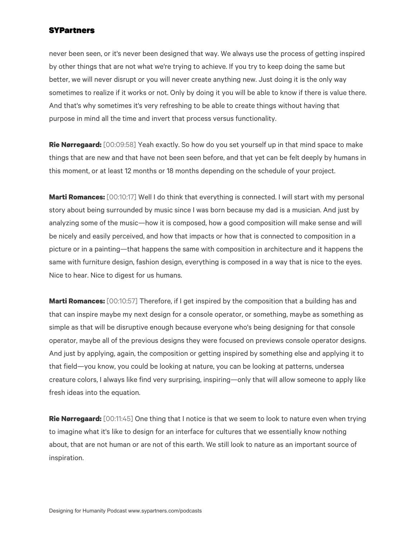never been seen, or it's never been designed that way. We always use the process of getting inspired by other things that are not what we're trying to achieve. If you try to keep doing the same but better, we will never disrupt or you will never create anything new. Just doing it is the only way sometimes to realize if it works or not. Only by doing it you will be able to know if there is value there. And that's why sometimes it's very refreshing to be able to create things without having that purpose in mind all the time and invert that process versus functionality.

**Rie Nørregaard:** [00:09:58] Yeah exactly. So how do you set yourself up in that mind space to make things that are new and that have not been seen before, and that yet can be felt deeply by humans in this moment, or at least 12 months or 18 months depending on the schedule of your project.

**Marti Romances:** [00:10:17] Well I do think that everything is connected. I will start with my personal story about being surrounded by music since I was born because my dad is a musician. And just by analyzing some of the music—how it is composed, how a good composition will make sense and will be nicely and easily perceived, and how that impacts or how that is connected to composition in a picture or in a painting—that happens the same with composition in architecture and it happens the same with furniture design, fashion design, everything is composed in a way that is nice to the eyes. Nice to hear. Nice to digest for us humans.

**Marti Romances:** [00:10:57] Therefore, if I get inspired by the composition that a building has and that can inspire maybe my next design for a console operator, or something, maybe as something as simple as that will be disruptive enough because everyone who's being designing for that console operator, maybe all of the previous designs they were focused on previews console operator designs. And just by applying, again, the composition or getting inspired by something else and applying it to that field—you know, you could be looking at nature, you can be looking at patterns, undersea creature colors, I always like find very surprising, inspiring—only that will allow someone to apply like fresh ideas into the equation.

**Rie Nørregaard:** [00:11:45] One thing that I notice is that we seem to look to nature even when trying to imagine what it's like to design for an interface for cultures that we essentially know nothing about, that are not human or are not of this earth. We still look to nature as an important source of inspiration.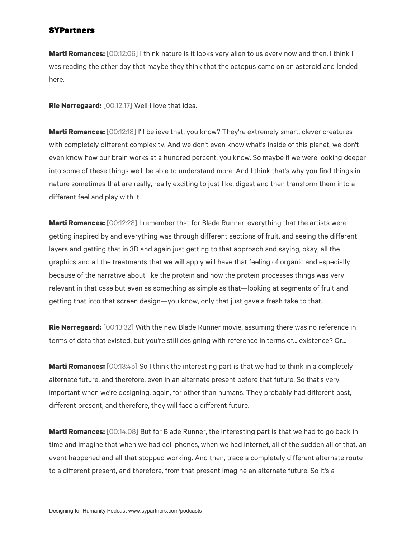**Marti Romances:** [00:12:06] I think nature is it looks very alien to us every now and then. I think I was reading the other day that maybe they think that the octopus came on an asteroid and landed here.

**Rie Nørregaard:** [00:12:17] Well I love that idea.

**Marti Romances:** [00:12:18] I'll believe that, you know? They're extremely smart, clever creatures with completely different complexity. And we don't even know what's inside of this planet, we don't even know how our brain works at a hundred percent, you know. So maybe if we were looking deeper into some of these things we'll be able to understand more. And I think that's why you find things in nature sometimes that are really, really exciting to just like, digest and then transform them into a different feel and play with it.

**Marti Romances:** [00:12:28] I remember that for Blade Runner, everything that the artists were getting inspired by and everything was through different sections of fruit, and seeing the different layers and getting that in 3D and again just getting to that approach and saying, okay, all the graphics and all the treatments that we will apply will have that feeling of organic and especially because of the narrative about like the protein and how the protein processes things was very relevant in that case but even as something as simple as that—looking at segments of fruit and getting that into that screen design—you know, only that just gave a fresh take to that.

**Rie Nørregaard:** [00:13:32] With the new Blade Runner movie, assuming there was no reference in terms of data that existed, but you're still designing with reference in terms of... existence? Or...

**Marti Romances:** [00:13:45] So I think the interesting part is that we had to think in a completely alternate future, and therefore, even in an alternate present before that future. So that's very important when we're designing, again, for other than humans. They probably had different past, different present, and therefore, they will face a different future.

**Marti Romances:** [00:14:08] But for Blade Runner, the interesting part is that we had to go back in time and imagine that when we had cell phones, when we had internet, all of the sudden all of that, an event happened and all that stopped working. And then, trace a completely different alternate route to a different present, and therefore, from that present imagine an alternate future. So it's a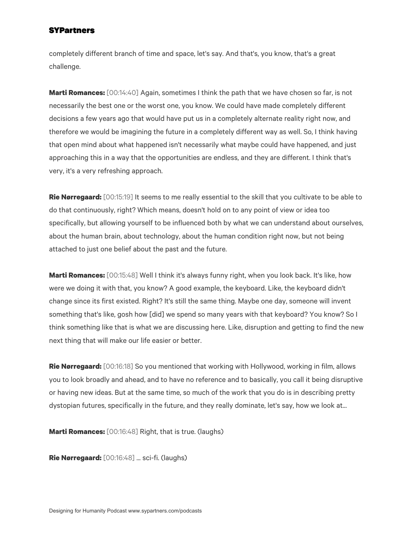completely different branch of time and space, let's say. And that's, you know, that's a great challenge.

**Marti Romances:** [00:14:40] Again, sometimes I think the path that we have chosen so far, is not necessarily the best one or the worst one, you know. We could have made completely different decisions a few years ago that would have put us in a completely alternate reality right now, and therefore we would be imagining the future in a completely different way as well. So, I think having that open mind about what happened isn't necessarily what maybe could have happened, and just approaching this in a way that the opportunities are endless, and they are different. I think that's very, it's a very refreshing approach.

**Rie Nørregaard:** [00:15:19] It seems to me really essential to the skill that you cultivate to be able to do that continuously, right? Which means, doesn't hold on to any point of view or idea too specifically, but allowing yourself to be influenced both by what we can understand about ourselves, about the human brain, about technology, about the human condition right now, but not being attached to just one belief about the past and the future.

**Marti Romances:** [00:15:48] Well I think it's always funny right, when you look back. It's like, how were we doing it with that, you know? A good example, the keyboard. Like, the keyboard didn't change since its first existed. Right? It's still the same thing. Maybe one day, someone will invent something that's like, gosh how [did] we spend so many years with that keyboard? You know? So I think something like that is what we are discussing here. Like, disruption and getting to find the new next thing that will make our life easier or better.

**Rie Nørregaard:** [00:16:18] So you mentioned that working with Hollywood, working in film, allows you to look broadly and ahead, and to have no reference and to basically, you call it being disruptive or having new ideas. But at the same time, so much of the work that you do is in describing pretty dystopian futures, specifically in the future, and they really dominate, let's say, how we look at...

**Marti Romances:** [00:16:48] Right, that is true. (laughs)

**Rie Nørregaard:** [00:16:48] ... sci-fi. (laughs)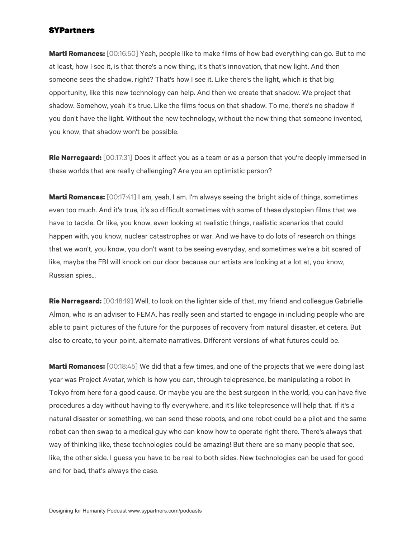**Marti Romances:** [00:16:50] Yeah, people like to make films of how bad everything can go. But to me at least, how I see it, is that there's a new thing, it's that's innovation, that new light. And then someone sees the shadow, right? That's how I see it. Like there's the light, which is that big opportunity, like this new technology can help. And then we create that shadow. We project that shadow. Somehow, yeah it's true. Like the films focus on that shadow. To me, there's no shadow if you don't have the light. Without the new technology, without the new thing that someone invented, you know, that shadow won't be possible.

**Rie Nørregaard:** [00:17:31] Does it affect you as a team or as a person that you're deeply immersed in these worlds that are really challenging? Are you an optimistic person?

**Marti Romances:** [00:17:41] I am, yeah, I am. I'm always seeing the bright side of things, sometimes even too much. And it's true, it's so difficult sometimes with some of these dystopian films that we have to tackle. Or like, you know, even looking at realistic things, realistic scenarios that could happen with, you know, nuclear catastrophes or war. And we have to do lots of research on things that we won't, you know, you don't want to be seeing everyday, and sometimes we're a bit scared of like, maybe the FBI will knock on our door because our artists are looking at a lot at, you know, Russian spies...

**Rie Nørregaard:** [00:18:19] Well, to look on the lighter side of that, my friend and colleague Gabrielle Almon, who is an adviser to FEMA, has really seen and started to engage in including people who are able to paint pictures of the future for the purposes of recovery from natural disaster, et cetera. But also to create, to your point, alternate narratives. Different versions of what futures could be.

**Marti Romances:** [00:18:45] We did that a few times, and one of the projects that we were doing last year was Project Avatar, which is how you can, through telepresence, be manipulating a robot in Tokyo from here for a good cause. Or maybe you are the best surgeon in the world, you can have five procedures a day without having to fly everywhere, and it's like telepresence will help that. If it's a natural disaster or something, we can send these robots, and one robot could be a pilot and the same robot can then swap to a medical guy who can know how to operate right there. There's always that way of thinking like, these technologies could be amazing! But there are so many people that see, like, the other side. I guess you have to be real to both sides. New technologies can be used for good and for bad, that's always the case.